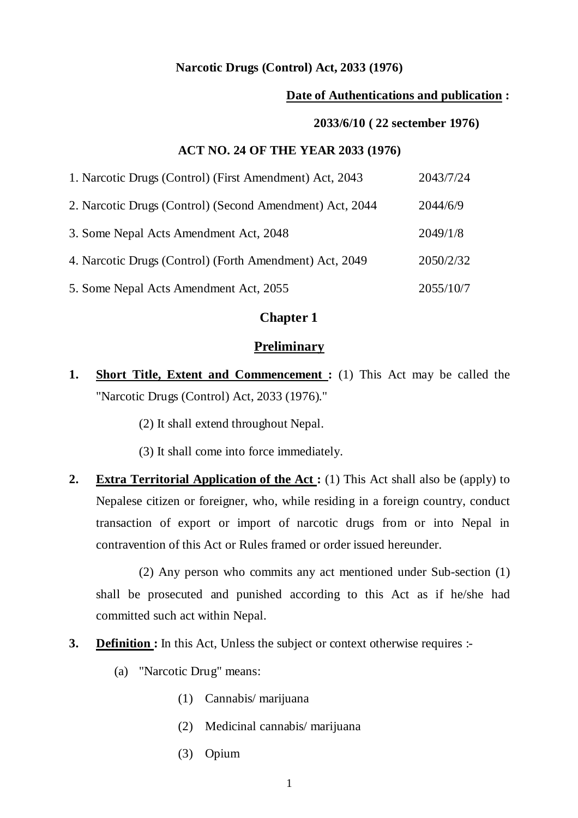#### **Narcotic Drugs (Control) Act, 2033 (1976)**

#### **Date of Authentications and publication :**

#### **2033/6/10 ( 22 sectember 1976)**

#### **ACT NO. 24 OF THE YEAR 2033 (1976)**

| 1. Narcotic Drugs (Control) (First Amendment) Act, 2043  | 2043/7/24 |
|----------------------------------------------------------|-----------|
| 2. Narcotic Drugs (Control) (Second Amendment) Act, 2044 | 2044/6/9  |
| 3. Some Nepal Acts Amendment Act, 2048                   | 2049/1/8  |
| 4. Narcotic Drugs (Control) (Forth Amendment) Act, 2049  | 2050/2/32 |
| 5. Some Nepal Acts Amendment Act, 2055                   | 2055/10/7 |

## **Chapter 1**

#### **Preliminary**

- **1.** Short Title, Extent and Commencement : (1) This Act may be called the "Narcotic Drugs (Control) Act, 2033 (1976)."
	- (2) It shall extend throughout Nepal.
	- (3) It shall come into force immediately.
- **2. Extra Territorial Application of the Act :** (1) This Act shall also be (apply) to Nepalese citizen or foreigner, who, while residing in a foreign country, conduct transaction of export or import of narcotic drugs from or into Nepal in contravention of this Act or Rules framed or order issued hereunder.

 (2) Any person who commits any act mentioned under Sub-section (1) shall be prosecuted and punished according to this Act as if he/she had committed such act within Nepal.

- **3. Definition :** In this Act, Unless the subject or context otherwise requires :-
	- (a) "Narcotic Drug" means:
		- (1) Cannabis/ marijuana
		- (2) Medicinal cannabis/ marijuana
		- (3) Opium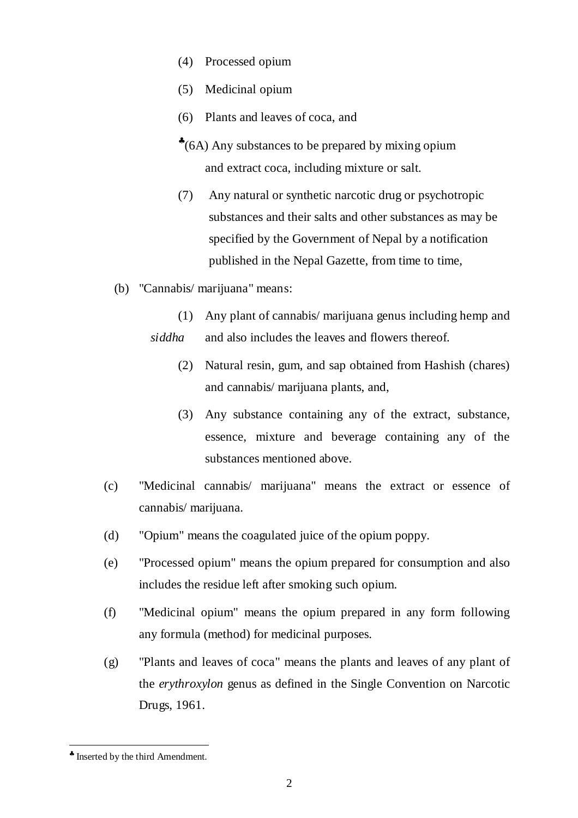- (4) Processed opium
- (5) Medicinal opium
- (6) Plants and leaves of coca, and
- ♣ (6A) Any substances to be prepared by mixing opium and extract coca, including mixture or salt.
- (7) Any natural or synthetic narcotic drug or psychotropic substances and their salts and other substances as may be specified by the Government of Nepal by a notification published in the Nepal Gazette, from time to time,
- (b) "Cannabis/ marijuana" means:
	- (1) Any plant of cannabis/ marijuana genus including hemp and *siddha* and also includes the leaves and flowers thereof.
		- (2) Natural resin, gum, and sap obtained from Hashish (chares) and cannabis/ marijuana plants, and,
		- (3) Any substance containing any of the extract, substance, essence, mixture and beverage containing any of the substances mentioned above.
- (c) "Medicinal cannabis/ marijuana" means the extract or essence of cannabis/ marijuana.
- (d) "Opium" means the coagulated juice of the opium poppy.
- (e) "Processed opium" means the opium prepared for consumption and also includes the residue left after smoking such opium.
- (f) "Medicinal opium" means the opium prepared in any form following any formula (method) for medicinal purposes.
- (g) "Plants and leaves of coca" means the plants and leaves of any plant of the *erythroxylon* genus as defined in the Single Convention on Narcotic Drugs, 1961.

<sup>♣</sup> Inserted by the third Amendment.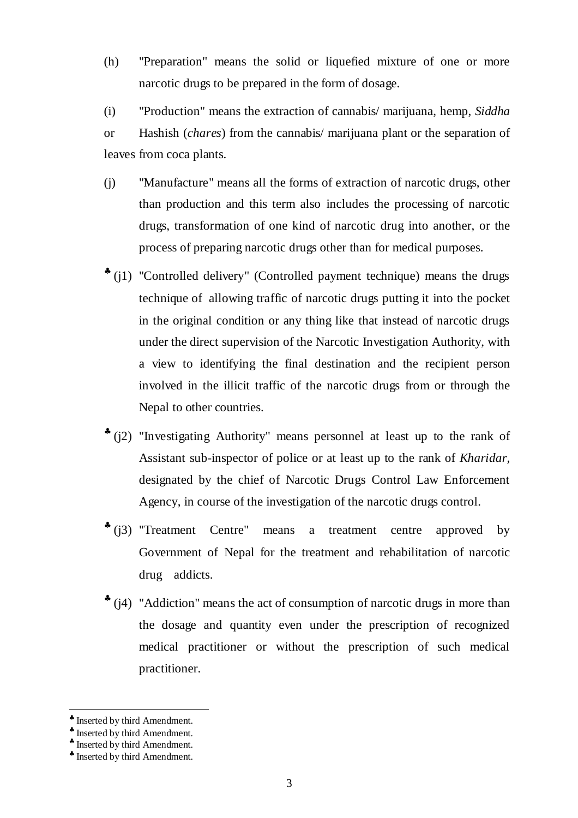(h) "Preparation" means the solid or liquefied mixture of one or more narcotic drugs to be prepared in the form of dosage.

(i) "Production" means the extraction of cannabis/ marijuana, hemp, *Siddha*  or Hashish (*chares*) from the cannabis/ marijuana plant or the separation of leaves from coca plants.

- (j) "Manufacture" means all the forms of extraction of narcotic drugs, other than production and this term also includes the processing of narcotic drugs, transformation of one kind of narcotic drug into another, or the process of preparing narcotic drugs other than for medical purposes.
- \* (j1) "Controlled delivery" (Controlled payment technique) means the drugs technique of allowing traffic of narcotic drugs putting it into the pocket in the original condition or any thing like that instead of narcotic drugs under the direct supervision of the Narcotic Investigation Authority, with a view to identifying the final destination and the recipient person involved in the illicit traffic of the narcotic drugs from or through the Nepal to other countries.
- ♣ (j2) "Investigating Authority" means personnel at least up to the rank of Assistant sub-inspector of police or at least up to the rank of *Kharidar,*  designated by the chief of Narcotic Drugs Control Law Enforcement Agency, in course of the investigation of the narcotic drugs control.
- \* (j3) "Treatment Centre" means a treatment centre approved by Government of Nepal for the treatment and rehabilitation of narcotic drug addicts.
- ♣ (j4) "Addiction" means the act of consumption of narcotic drugs in more than the dosage and quantity even under the prescription of recognized medical practitioner or without the prescription of such medical practitioner.

<sup>♣</sup> Inserted by third Amendment.

<sup>♣</sup> Inserted by third Amendment.

<sup>♣</sup> Inserted by third Amendment.

<sup>♣</sup> Inserted by third Amendment.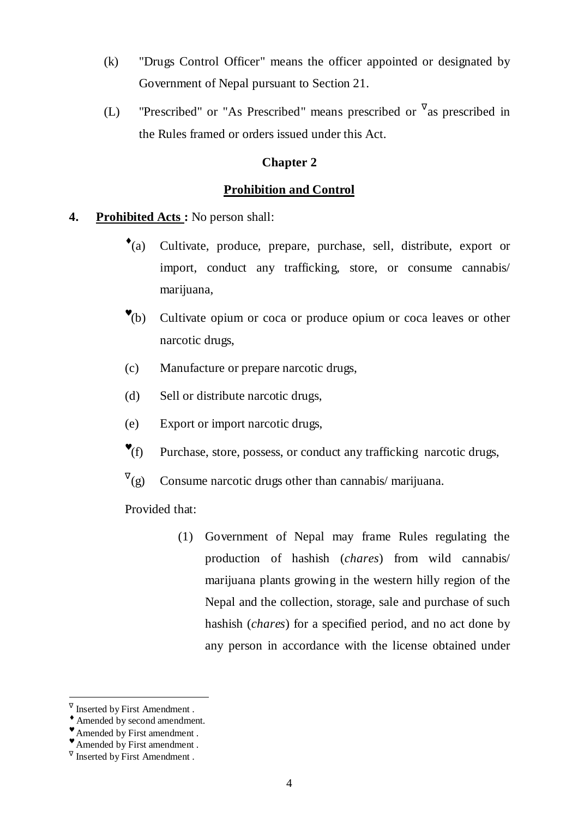- (k) "Drugs Control Officer" means the officer appointed or designated by Government of Nepal pursuant to Section 21.
- (L) "Prescribed" or "As Prescribed" means prescribed or  $\sqrt{a}$  prescribed in the Rules framed or orders issued under this Act.

## **Chapter 2**

## **Prohibition and Control**

- **4. Prohibited Acts :** No person shall:
	- $\cdot$  (a) Cultivate, produce, prepare, purchase, sell, distribute, export or import, conduct any trafficking, store, or consume cannabis/ marijuana,
	- $\mathbf{v}_{(b)}$ Cultivate opium or coca or produce opium or coca leaves or other narcotic drugs,
	- (c) Manufacture or prepare narcotic drugs,
	- (d) Sell or distribute narcotic drugs,
	- (e) Export or import narcotic drugs,
	- $\mathbf{P}(\mathbf{f})$ Purchase, store, possess, or conduct any trafficking narcotic drugs,
	- $V_{(g)}$ Consume narcotic drugs other than cannabis/ marijuana.

#### Provided that:

(1) Government of Nepal may frame Rules regulating the production of hashish (*chares*) from wild cannabis/ marijuana plants growing in the western hilly region of the Nepal and the collection, storage, sale and purchase of such hashish (*chares*) for a specified period, and no act done by any person in accordance with the license obtained under

<sup>∇</sup> Inserted by First Amendment .

<sup>♦</sup> Amended by second amendment.

<sup>♥</sup> Amended by First amendment .

<sup>♥</sup> Amended by First amendment .

 $\sqrt{\ }$  Inserted by First Amendment.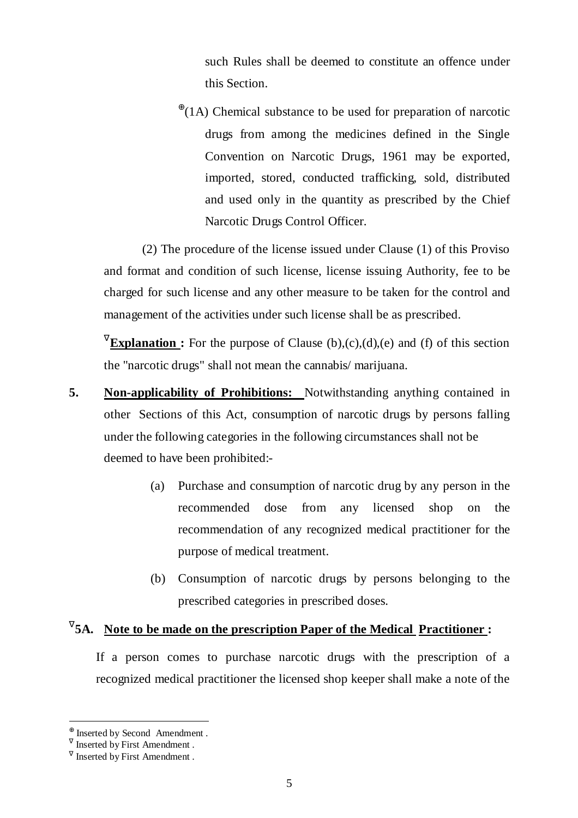such Rules shall be deemed to constitute an offence under this Section.

 $^{\oplus}$ (1A) Chemical substance to be used for preparation of narcotic drugs from among the medicines defined in the Single Convention on Narcotic Drugs, 1961 may be exported, imported, stored, conducted trafficking, sold, distributed and used only in the quantity as prescribed by the Chief Narcotic Drugs Control Officer.

 (2) The procedure of the license issued under Clause (1) of this Proviso and format and condition of such license, license issuing Authority, fee to be charged for such license and any other measure to be taken for the control and management of the activities under such license shall be as prescribed.

**Explanation :** For the purpose of Clause (b),(c),(d),(e) and (f) of this section the "narcotic drugs" shall not mean the cannabis/ marijuana.

- **5. Non-applicability of Prohibitions:** Notwithstanding anything contained in other Sections of this Act, consumption of narcotic drugs by persons falling under the following categories in the following circumstances shall not be deemed to have been prohibited:-
	- (a) Purchase and consumption of narcotic drug by any person in the recommended dose from any licensed shop on the recommendation of any recognized medical practitioner for the purpose of medical treatment.
	- (b) Consumption of narcotic drugs by persons belonging to the prescribed categories in prescribed doses.

## <sup>V</sup> 5A. Note to be made on the prescription Paper of the Medical Practitioner:

 If a person comes to purchase narcotic drugs with the prescription of a recognized medical practitioner the licensed shop keeper shall make a note of the

<sup>⊕</sup> Inserted by Second Amendment .

 $\sqrt{\ }$  Inserted by First Amendment.

 $\sqrt{\ }$  Inserted by First Amendment.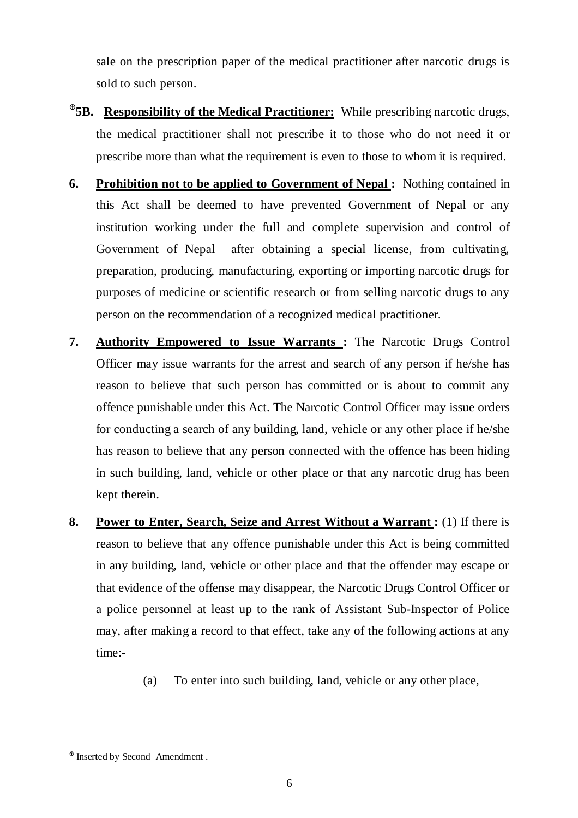sale on the prescription paper of the medical practitioner after narcotic drugs is sold to such person.

- ⊕ **5B. Responsibility of the Medical Practitioner:** While prescribing narcotic drugs, the medical practitioner shall not prescribe it to those who do not need it or prescribe more than what the requirement is even to those to whom it is required.
- **6. Prohibition not to be applied to Government of Nepal :** Nothing contained in this Act shall be deemed to have prevented Government of Nepal or any institution working under the full and complete supervision and control of Government of Nepal after obtaining a special license, from cultivating, preparation, producing, manufacturing, exporting or importing narcotic drugs for purposes of medicine or scientific research or from selling narcotic drugs to any person on the recommendation of a recognized medical practitioner.
- **7. Authority Empowered to Issue Warrants :** The Narcotic Drugs Control Officer may issue warrants for the arrest and search of any person if he/she has reason to believe that such person has committed or is about to commit any offence punishable under this Act. The Narcotic Control Officer may issue orders for conducting a search of any building, land, vehicle or any other place if he/she has reason to believe that any person connected with the offence has been hiding in such building, land, vehicle or other place or that any narcotic drug has been kept therein.
- **8.** Power to Enter, Search, Seize and Arrest Without a Warrant : (1) If there is reason to believe that any offence punishable under this Act is being committed in any building, land, vehicle or other place and that the offender may escape or that evidence of the offense may disappear, the Narcotic Drugs Control Officer or a police personnel at least up to the rank of Assistant Sub-Inspector of Police may, after making a record to that effect, take any of the following actions at any time:-
	- (a) To enter into such building, land, vehicle or any other place,

<sup>⊕</sup> Inserted by Second Amendment .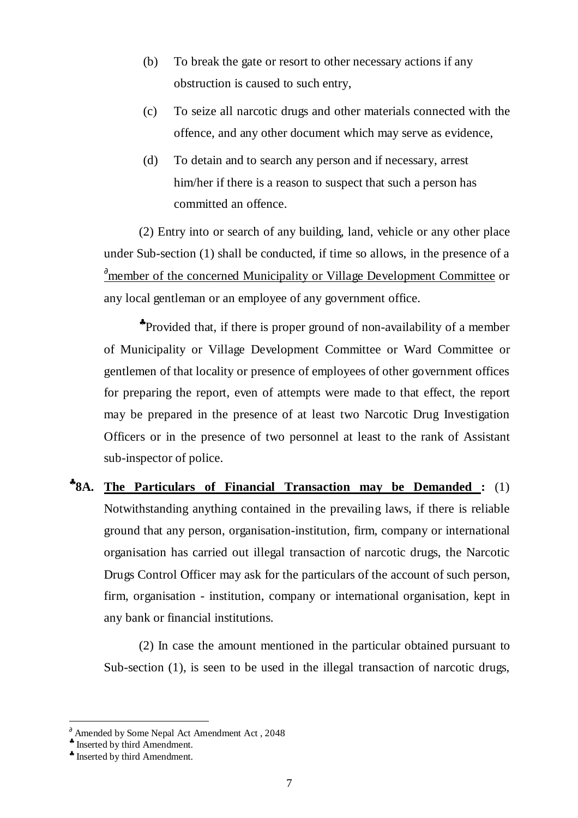- (b) To break the gate or resort to other necessary actions if any obstruction is caused to such entry,
- (c) To seize all narcotic drugs and other materials connected with the offence, and any other document which may serve as evidence,
- (d) To detain and to search any person and if necessary, arrest him/her if there is a reason to suspect that such a person has committed an offence.

 (2) Entry into or search of any building, land, vehicle or any other place under Sub-section (1) shall be conducted, if time so allows, in the presence of a ∂member of the concerned Municipality or Village Development Committee or any local gentleman or an employee of any government office.

♣ Provided that, if there is proper ground of non-availability of a member of Municipality or Village Development Committee or Ward Committee or gentlemen of that locality or presence of employees of other government offices for preparing the report, even of attempts were made to that effect, the report may be prepared in the presence of at least two Narcotic Drug Investigation Officers or in the presence of two personnel at least to the rank of Assistant sub-inspector of police.

♣ **8A. The Particulars of Financial Transaction may be Demanded :** (1) Notwithstanding anything contained in the prevailing laws, if there is reliable ground that any person, organisation-institution, firm, company or international organisation has carried out illegal transaction of narcotic drugs, the Narcotic Drugs Control Officer may ask for the particulars of the account of such person, firm, organisation - institution, company or international organisation, kept in any bank or financial institutions.

 (2) In case the amount mentioned in the particular obtained pursuant to Sub-section (1), is seen to be used in the illegal transaction of narcotic drugs,

 $\delta$  Amended by Some Nepal Act Amendment Act, 2048

<sup>♣</sup> Inserted by third Amendment.

<sup>♣</sup> Inserted by third Amendment.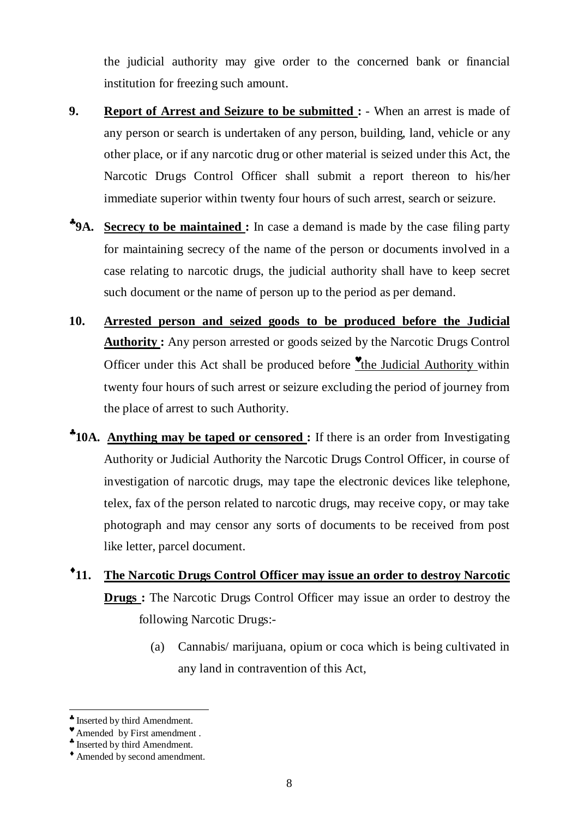the judicial authority may give order to the concerned bank or financial institution for freezing such amount.

- **9.** Report of Arrest and Seizure to be submitted :  $\cdot$  When an arrest is made of any person or search is undertaken of any person, building, land, vehicle or any other place, or if any narcotic drug or other material is seized under this Act, the Narcotic Drugs Control Officer shall submit a report thereon to his/her immediate superior within twenty four hours of such arrest, search or seizure.
- ♣ **9A. Secrecy to be maintained :** In case a demand is made by the case filing party for maintaining secrecy of the name of the person or documents involved in a case relating to narcotic drugs, the judicial authority shall have to keep secret such document or the name of person up to the period as per demand.
- **10. Arrested person and seized goods to be produced before the Judicial Authority :** Any person arrested or goods seized by the Narcotic Drugs Control Officer under this Act shall be produced before *the Judicial Authority within* twenty four hours of such arrest or seizure excluding the period of journey from the place of arrest to such Authority.
- ♣ **10A. Anything may be taped or censored :** If there is an order from Investigating Authority or Judicial Authority the Narcotic Drugs Control Officer, in course of investigation of narcotic drugs, may tape the electronic devices like telephone, telex, fax of the person related to narcotic drugs, may receive copy, or may take photograph and may censor any sorts of documents to be received from post like letter, parcel document.
- $^{\bullet}11.$ **11. The Narcotic Drugs Control Officer may issue an order to destroy Narcotic Drugs :** The Narcotic Drugs Control Officer may issue an order to destroy the following Narcotic Drugs:-
	- (a) Cannabis/ marijuana, opium or coca which is being cultivated in any land in contravention of this Act,

 $\overline{a}$ ♣ Inserted by third Amendment.

<sup>♥</sup> Amended by First amendment .

<sup>♣</sup> Inserted by third Amendment.

<sup>♦</sup> Amended by second amendment.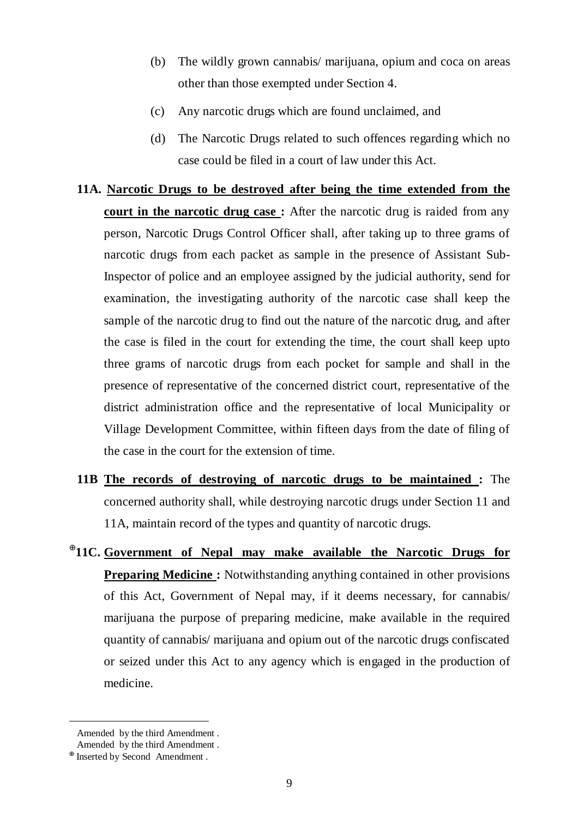- (b) The wildly grown cannabis/ marijuana, opium and coca on areas other than those exempted under Section 4.
- (c) Any narcotic drugs which are found unclaimed, and
- (d) The Narcotic Drugs related to such offences regarding which no case could be filed in a court of law under this Act.

# **11A. Narcotic Drugs to be destroyed after being the time extended from the court in the narcotic drug case:** After the narcotic drug is raided from any person, Narcotic Drugs Control Officer shall, after taking up to three grams of narcotic drugs from each packet as sample in the presence of Assistant Sub-Inspector of police and an employee assigned by the judicial authority, send for examination, the investigating authority of the narcotic case shall keep the sample of the narcotic drug to find out the nature of the narcotic drug, and after the case is filed in the court for extending the time, the court shall keep upto three grams of narcotic drugs from each pocket for sample and shall in the presence of representative of the concerned district court, representative of the district administration office and the representative of local Municipality or Village Development Committee, within fifteen days from the date of filing of the case in the court for the extension of time.

- **11B The records of destroying of narcotic drugs to be maintained :** The concerned authority shall, while destroying narcotic drugs under Section 11 and 11A, maintain record of the types and quantity of narcotic drugs.
- ⊕ **11C. Government of Nepal may make available the Narcotic Drugs for Preparing Medicine :** Notwithstanding anything contained in other provisions of this Act, Government of Nepal may, if it deems necessary, for cannabis/ marijuana the purpose of preparing medicine, make available in the required quantity of cannabis/ marijuana and opium out of the narcotic drugs confiscated or seized under this Act to any agency which is engaged in the production of medicine.

Amended by the third Amendment .

 $M<sup>M</sup>$  Amended by the third Amendment.

<sup>⊕</sup> Inserted by Second Amendment .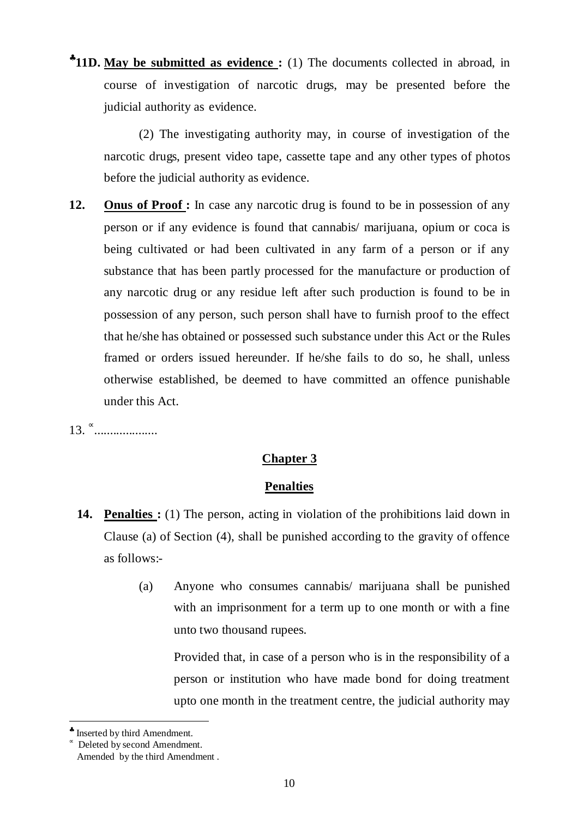\*11D. May be submitted as evidence: (1) The documents collected in abroad, in course of investigation of narcotic drugs, may be presented before the judicial authority as evidence.

 (2) The investigating authority may, in course of investigation of the narcotic drugs, present video tape, cassette tape and any other types of photos before the judicial authority as evidence.

12. **Onus of Proof :** In case any narcotic drug is found to be in possession of any person or if any evidence is found that cannabis/ marijuana, opium or coca is being cultivated or had been cultivated in any farm of a person or if any substance that has been partly processed for the manufacture or production of any narcotic drug or any residue left after such production is found to be in possession of any person, such person shall have to furnish proof to the effect that he/she has obtained or possessed such substance under this Act or the Rules framed or orders issued hereunder. If he/she fails to do so, he shall, unless otherwise established, be deemed to have committed an offence punishable under this Act.

13. <sup>∝</sup>.....................

## **Chapter 3**

## **Penalties**

- **<sup>™</sup>14. Penalties :** (1) The person, acting in violation of the prohibitions laid down in Clause (a) of Section (4), shall be punished according to the gravity of offence as follows:-
	- (a) Anyone who consumes cannabis/ marijuana shall be punished with an imprisonment for a term up to one month or with a fine unto two thousand rupees.

 Provided that, in case of a person who is in the responsibility of a person or institution who have made bond for doing treatment upto one month in the treatment centre, the judicial authority may

<sup>♣</sup> Inserted by third Amendment.

<sup>∝</sup> Deleted by second Amendment.

<sup>™</sup> Amended by the third Amendment.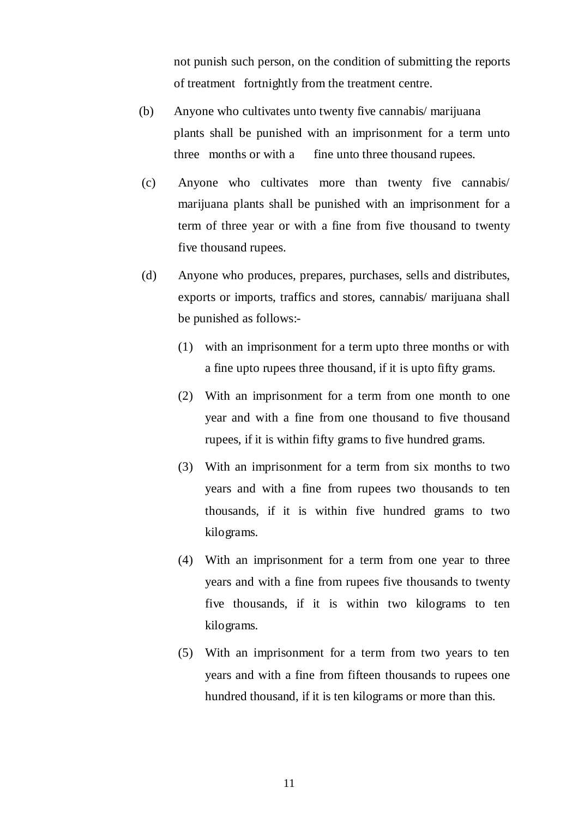not punish such person, on the condition of submitting the reports of treatment fortnightly from the treatment centre.

- (b) Anyone who cultivates unto twenty five cannabis/ marijuana plants shall be punished with an imprisonment for a term unto three months or with a fine unto three thousand rupees.
- (c) Anyone who cultivates more than twenty five cannabis/ marijuana plants shall be punished with an imprisonment for a term of three year or with a fine from five thousand to twenty five thousand rupees.
- (d) Anyone who produces, prepares, purchases, sells and distributes, exports or imports, traffics and stores, cannabis/ marijuana shall be punished as follows:-
	- (1) with an imprisonment for a term upto three months or with a fine upto rupees three thousand, if it is upto fifty grams.
	- (2) With an imprisonment for a term from one month to one year and with a fine from one thousand to five thousand rupees, if it is within fifty grams to five hundred grams.
	- (3) With an imprisonment for a term from six months to two years and with a fine from rupees two thousands to ten thousands, if it is within five hundred grams to two kilograms.
	- (4) With an imprisonment for a term from one year to three years and with a fine from rupees five thousands to twenty five thousands, if it is within two kilograms to ten kilograms.
	- (5) With an imprisonment for a term from two years to ten years and with a fine from fifteen thousands to rupees one hundred thousand, if it is ten kilograms or more than this.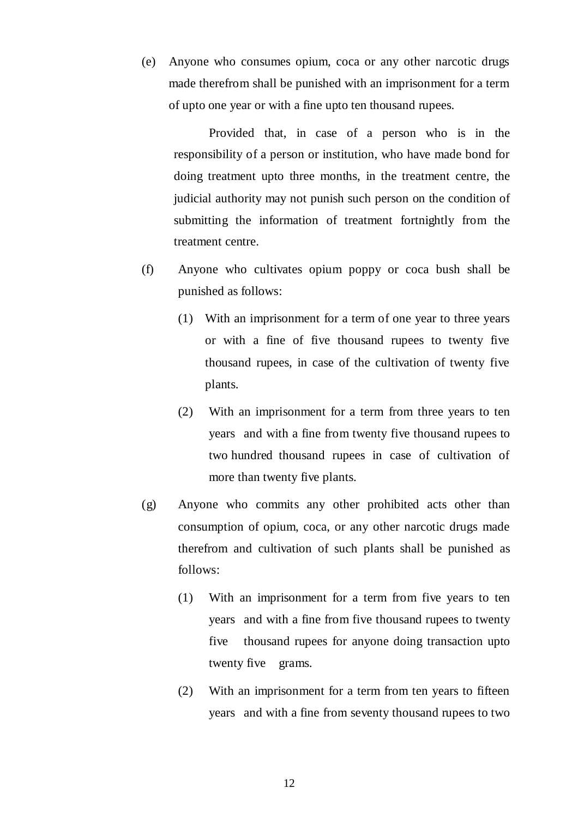(e) Anyone who consumes opium, coca or any other narcotic drugs made therefrom shall be punished with an imprisonment for a term of upto one year or with a fine upto ten thousand rupees.

 Provided that, in case of a person who is in the responsibility of a person or institution, who have made bond for doing treatment upto three months, in the treatment centre, the judicial authority may not punish such person on the condition of submitting the information of treatment fortnightly from the treatment centre.

- (f) Anyone who cultivates opium poppy or coca bush shall be punished as follows:
	- (1) With an imprisonment for a term of one year to three years or with a fine of five thousand rupees to twenty five thousand rupees, in case of the cultivation of twenty five plants.
	- (2) With an imprisonment for a term from three years to ten years and with a fine from twenty five thousand rupees to two hundred thousand rupees in case of cultivation of more than twenty five plants.
- (g) Anyone who commits any other prohibited acts other than consumption of opium, coca, or any other narcotic drugs made therefrom and cultivation of such plants shall be punished as follows:
	- (1) With an imprisonment for a term from five years to ten years and with a fine from five thousand rupees to twenty five thousand rupees for anyone doing transaction upto twenty five grams.
	- (2) With an imprisonment for a term from ten years to fifteen years and with a fine from seventy thousand rupees to two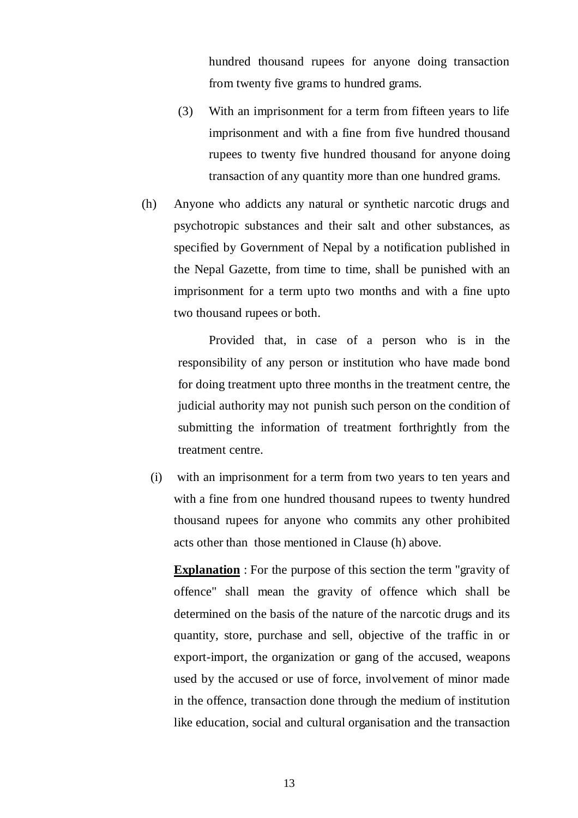hundred thousand rupees for anyone doing transaction from twenty five grams to hundred grams.

- (3) With an imprisonment for a term from fifteen years to life imprisonment and with a fine from five hundred thousand rupees to twenty five hundred thousand for anyone doing transaction of any quantity more than one hundred grams.
- (h) Anyone who addicts any natural or synthetic narcotic drugs and psychotropic substances and their salt and other substances, as specified by Government of Nepal by a notification published in the Nepal Gazette, from time to time, shall be punished with an imprisonment for a term upto two months and with a fine upto two thousand rupees or both.

 Provided that, in case of a person who is in the responsibility of any person or institution who have made bond for doing treatment upto three months in the treatment centre, the judicial authority may not punish such person on the condition of submitting the information of treatment forthrightly from the treatment centre.

 (i) with an imprisonment for a term from two years to ten years and with a fine from one hundred thousand rupees to twenty hundred thousand rupees for anyone who commits any other prohibited acts other than those mentioned in Clause (h) above.

**Explanation** : For the purpose of this section the term "gravity of offence" shall mean the gravity of offence which shall be determined on the basis of the nature of the narcotic drugs and its quantity, store, purchase and sell, objective of the traffic in or export-import, the organization or gang of the accused, weapons used by the accused or use of force, involvement of minor made in the offence, transaction done through the medium of institution like education, social and cultural organisation and the transaction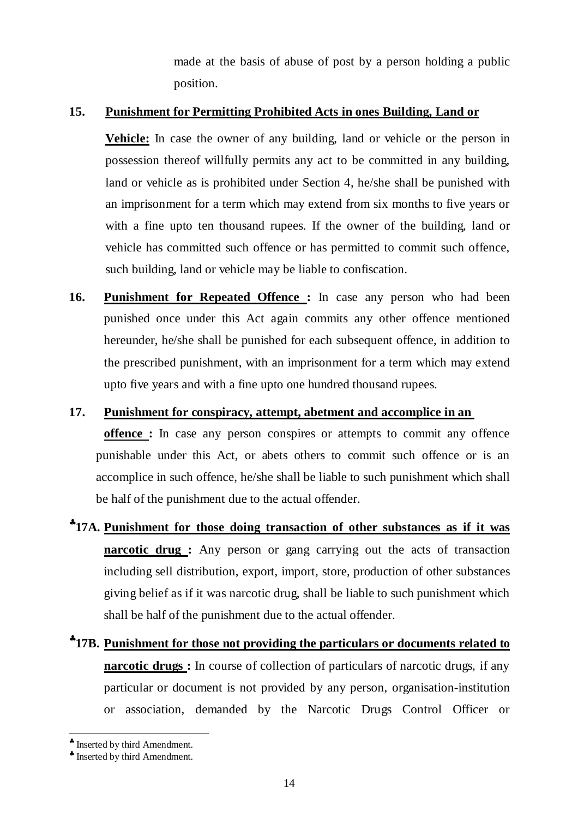made at the basis of abuse of post by a person holding a public position.

## **15. Punishment for Permitting Prohibited Acts in ones Building, Land or**

 **Vehicle:** In case the owner of any building, land or vehicle or the person in possession thereof willfully permits any act to be committed in any building, land or vehicle as is prohibited under Section 4, he/she shall be punished with an imprisonment for a term which may extend from six months to five years or with a fine upto ten thousand rupees. If the owner of the building, land or vehicle has committed such offence or has permitted to commit such offence, such building, land or vehicle may be liable to confiscation.

- **16. Punishment for Repeated Offence :** In case any person who had been punished once under this Act again commits any other offence mentioned hereunder, he/she shall be punished for each subsequent offence, in addition to the prescribed punishment, with an imprisonment for a term which may extend upto five years and with a fine upto one hundred thousand rupees.
- **17. Punishment for conspiracy, attempt, abetment and accomplice in an offence :** In case any person conspires or attempts to commit any offence punishable under this Act, or abets others to commit such offence or is an accomplice in such offence, he/she shall be liable to such punishment which shall be half of the punishment due to the actual offender.
- ♣ **17A. Punishment for those doing transaction of other substances as if it was narcotic drug :** Any person or gang carrying out the acts of transaction including sell distribution, export, import, store, production of other substances giving belief as if it was narcotic drug, shall be liable to such punishment which shall be half of the punishment due to the actual offender.
- ♣ **17B. Punishment for those not providing the particulars or documents related to narcotic drugs :** In course of collection of particulars of narcotic drugs, if any particular or document is not provided by any person, organisation-institution or association, demanded by the Narcotic Drugs Control Officer or

<sup>♣</sup> Inserted by third Amendment.

<sup>♣</sup> Inserted by third Amendment.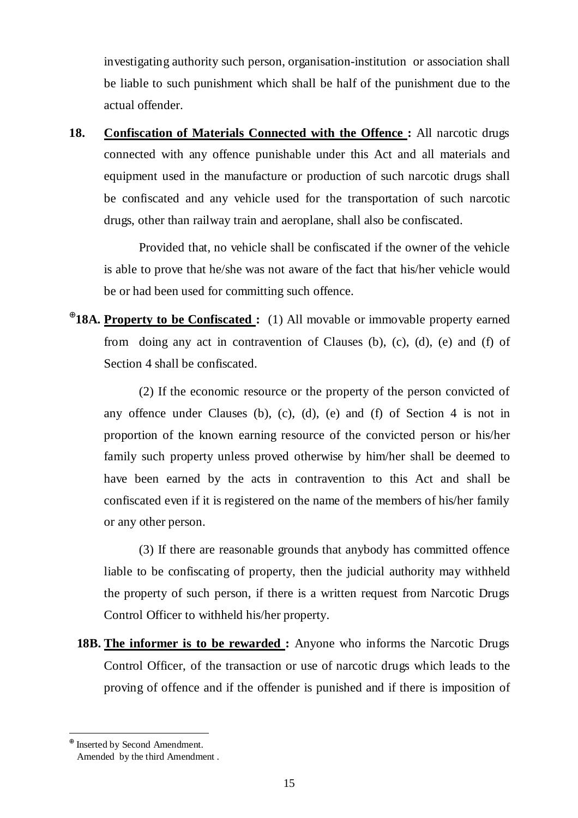investigating authority such person, organisation-institution or association shall be liable to such punishment which shall be half of the punishment due to the actual offender.

**18. Confiscation of Materials Connected with the Offence :** All narcotic drugs connected with any offence punishable under this Act and all materials and equipment used in the manufacture or production of such narcotic drugs shall be confiscated and any vehicle used for the transportation of such narcotic drugs, other than railway train and aeroplane, shall also be confiscated.

 Provided that, no vehicle shall be confiscated if the owner of the vehicle is able to prove that he/she was not aware of the fact that his/her vehicle would be or had been used for committing such offence.

⊕ **18A. Property to be Confiscated :** (1) All movable or immovable property earned from doing any act in contravention of Clauses (b), (c), (d), (e) and (f) of Section 4 shall be confiscated.

 (2) If the economic resource or the property of the person convicted of any offence under Clauses (b), (c), (d), (e) and (f) of Section 4 is not in proportion of the known earning resource of the convicted person or his/her family such property unless proved otherwise by him/her shall be deemed to have been earned by the acts in contravention to this Act and shall be confiscated even if it is registered on the name of the members of his/her family or any other person.

 (3) If there are reasonable grounds that anybody has committed offence liable to be confiscating of property, then the judicial authority may withheld the property of such person, if there is a written request from Narcotic Drugs Control Officer to withheld his/her property.

**<sup>18</sup> 18B. The informer is to be rewarded :** Anyone who informs the Narcotic Drugs Control Officer, of the transaction or use of narcotic drugs which leads to the proving of offence and if the offender is punished and if there is imposition of

<sup>⊕</sup> Inserted by Second Amendment.

 $\mathbb{R}^m$  Amended by the third Amendment .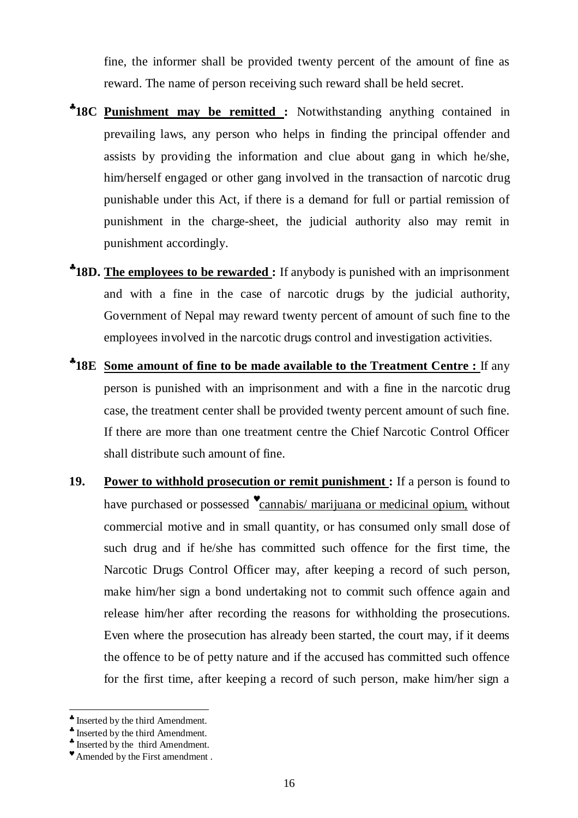fine, the informer shall be provided twenty percent of the amount of fine as reward. The name of person receiving such reward shall be held secret.

- ♣ **18C Punishment may be remitted :** Notwithstanding anything contained in prevailing laws, any person who helps in finding the principal offender and assists by providing the information and clue about gang in which he/she, him/herself engaged or other gang involved in the transaction of narcotic drug punishable under this Act, if there is a demand for full or partial remission of punishment in the charge-sheet, the judicial authority also may remit in punishment accordingly.
- \*18D. The employees to be rewarded: If anybody is punished with an imprisonment and with a fine in the case of narcotic drugs by the judicial authority, Government of Nepal may reward twenty percent of amount of such fine to the employees involved in the narcotic drugs control and investigation activities.
- \*18E Some amount of fine to be made available to the Treatment Centre : If any person is punished with an imprisonment and with a fine in the narcotic drug case, the treatment center shall be provided twenty percent amount of such fine. If there are more than one treatment centre the Chief Narcotic Control Officer shall distribute such amount of fine.
- **19. Power to withhold prosecution or remit punishment :** If a person is found to have purchased or possessed "cannabis/ marijuana or medicinal opium, without commercial motive and in small quantity, or has consumed only small dose of such drug and if he/she has committed such offence for the first time, the Narcotic Drugs Control Officer may, after keeping a record of such person, make him/her sign a bond undertaking not to commit such offence again and release him/her after recording the reasons for withholding the prosecutions. Even where the prosecution has already been started, the court may, if it deems the offence to be of petty nature and if the accused has committed such offence for the first time, after keeping a record of such person, make him/her sign a

 $\overline{a}$ ♣ Inserted by the third Amendment.

<sup>♣</sup> Inserted by the third Amendment.

<sup>♣</sup> Inserted by the third Amendment.

<sup>♥</sup> Amended by the First amendment .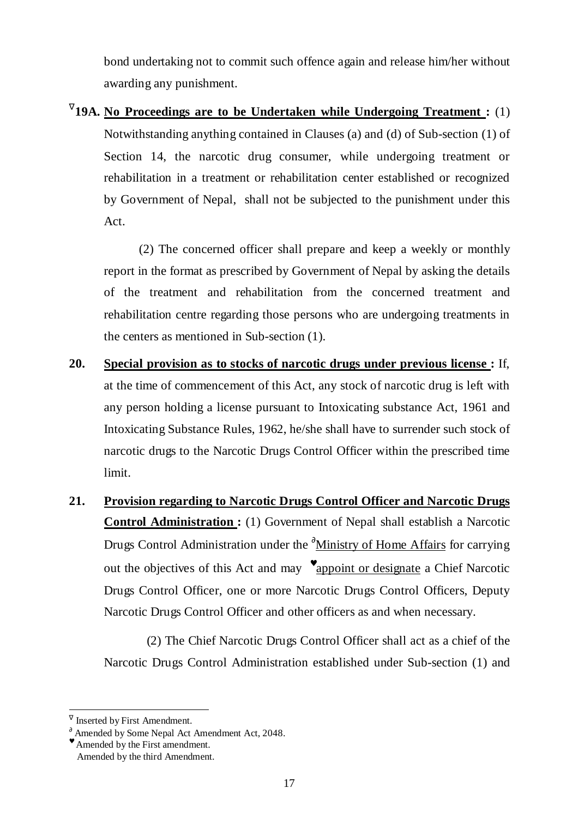bond undertaking not to commit such offence again and release him/her without awarding any punishment.

∇ **19A. No Proceedings are to be Undertaken while Undergoing Treatment :** (1) Notwithstanding anything contained in Clauses (a) and (d) of Sub-section (1) of Section 14, the narcotic drug consumer, while undergoing treatment or rehabilitation in a treatment or rehabilitation center established or recognized by Government of Nepal, shall not be subjected to the punishment under this Act.

 (2) The concerned officer shall prepare and keep a weekly or monthly report in the format as prescribed by Government of Nepal by asking the details of the treatment and rehabilitation from the concerned treatment and rehabilitation centre regarding those persons who are undergoing treatments in the centers as mentioned in Sub-section (1).

- **20. Special provision as to stocks of narcotic drugs under previous license :** If, at the time of commencement of this Act, any stock of narcotic drug is left with any person holding a license pursuant to Intoxicating substance Act, 1961 and Intoxicating Substance Rules, 1962, he/she shall have to surrender such stock of narcotic drugs to the Narcotic Drugs Control Officer within the prescribed time limit.
- **21. Provision regarding to Narcotic Drugs Control Officer and Narcotic Drugs Control Administration :** (1) Government of Nepal shall establish a Narcotic Drugs Control Administration under the <sup>∂</sup>Ministry of Home Affairs for carrying out the objectives of this Act and may  $\bullet$  appoint or designate a Chief Narcotic Drugs Control Officer, one or more Narcotic Drugs Control Officers, Deputy Narcotic Drugs Control Officer and other officers as and when necessary.

 $M(2)$  The Chief Narcotic Drugs Control Officer shall act as a chief of the Narcotic Drugs Control Administration established under Sub-section (1) and

 $\overline{a}$ ∇ Inserted by First Amendment.

 $\partial$  Amended by Some Nepal Act Amendment Act, 2048.

<sup>♥</sup> Amended by the First amendment.

Amended by the third Amendment.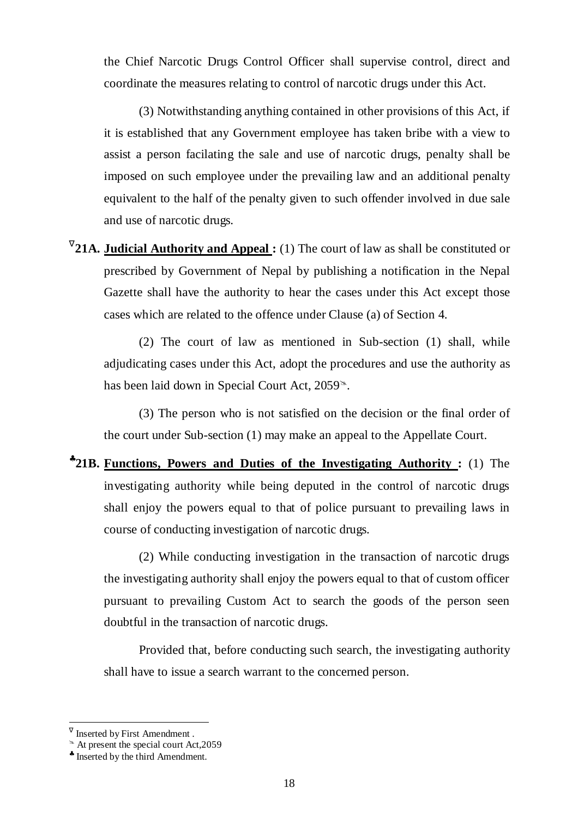the Chief Narcotic Drugs Control Officer shall supervise control, direct and coordinate the measures relating to control of narcotic drugs under this Act.

 (3) Notwithstanding anything contained in other provisions of this Act, if it is established that any Government employee has taken bribe with a view to assist a person facilating the sale and use of narcotic drugs, penalty shall be imposed on such employee under the prevailing law and an additional penalty equivalent to the half of the penalty given to such offender involved in due sale and use of narcotic drugs.

<sup>V</sup>21A. **Judicial Authority and Appeal**: (1) The court of law as shall be constituted or prescribed by Government of Nepal by publishing a notification in the Nepal Gazette shall have the authority to hear the cases under this Act except those cases which are related to the offence under Clause (a) of Section 4.

 (2) The court of law as mentioned in Sub-section (1) shall, while adjudicating cases under this Act, adopt the procedures and use the authority as has been laid down in Special Court Act, 2059<sup>s</sup>.

 (3) The person who is not satisfied on the decision or the final order of the court under Sub-section (1) may make an appeal to the Appellate Court.

♣ **21B. Functions, Powers and Duties of the Investigating Authority :** (1) The investigating authority while being deputed in the control of narcotic drugs shall enjoy the powers equal to that of police pursuant to prevailing laws in course of conducting investigation of narcotic drugs.

 (2) While conducting investigation in the transaction of narcotic drugs the investigating authority shall enjoy the powers equal to that of custom officer pursuant to prevailing Custom Act to search the goods of the person seen doubtful in the transaction of narcotic drugs.

 Provided that, before conducting such search, the investigating authority shall have to issue a search warrant to the concerned person.

 $\sqrt{\ }$  Inserted by First Amendment.

 $^*$  At present the special court Act, 2059

<sup>♣</sup> Inserted by the third Amendment.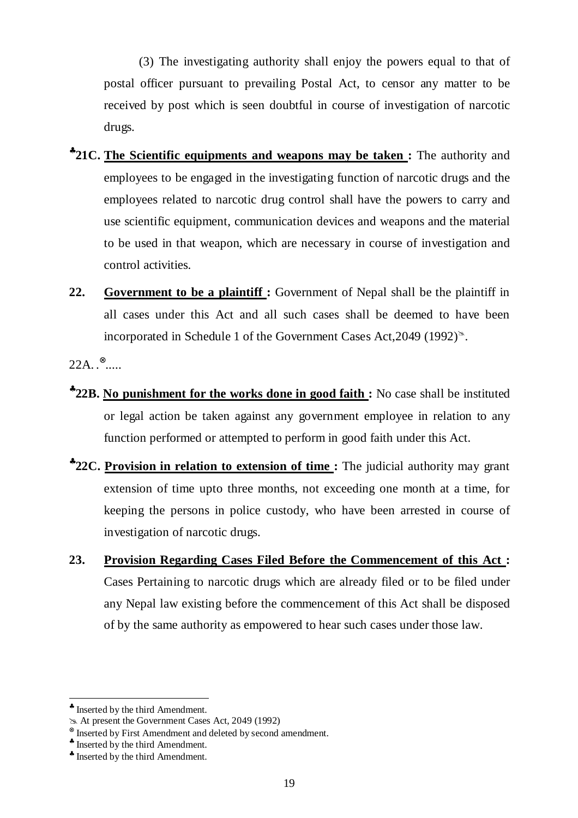(3) The investigating authority shall enjoy the powers equal to that of postal officer pursuant to prevailing Postal Act, to censor any matter to be received by post which is seen doubtful in course of investigation of narcotic drugs.

- ♣ **21C. The Scientific equipments and weapons may be taken :** The authority and employees to be engaged in the investigating function of narcotic drugs and the employees related to narcotic drug control shall have the powers to carry and use scientific equipment, communication devices and weapons and the material to be used in that weapon, which are necessary in course of investigation and control activities.
- **22. Government to be a plaintiff :** Government of Nepal shall be the plaintiff in all cases under this Act and all such cases shall be deemed to have been incorporated in Schedule 1 of the Government Cases Act,  $2049$  (1992)<sup> $\approx$ </sup>.

 $22A.$ .  $^{\otimes}$ .....

- ♣ **22B. No punishment for the works done in good faith :** No case shall be instituted or legal action be taken against any government employee in relation to any function performed or attempted to perform in good faith under this Act.
- \*22C. Provision in relation to extension of time: The judicial authority may grant extension of time upto three months, not exceeding one month at a time, for keeping the persons in police custody, who have been arrested in course of investigation of narcotic drugs.
- **23. Provision Regarding Cases Filed Before the Commencement of this Act :**  Cases Pertaining to narcotic drugs which are already filed or to be filed under any Nepal law existing before the commencement of this Act shall be disposed of by the same authority as empowered to hear such cases under those law.

<sup>♣</sup> Inserted by the third Amendment.

At present the Government Cases Act, 2049 (1992)

<sup>⊗</sup> Inserted by First Amendment and deleted by second amendment.

<sup>♣</sup> Inserted by the third Amendment.

<sup>♣</sup> Inserted by the third Amendment.